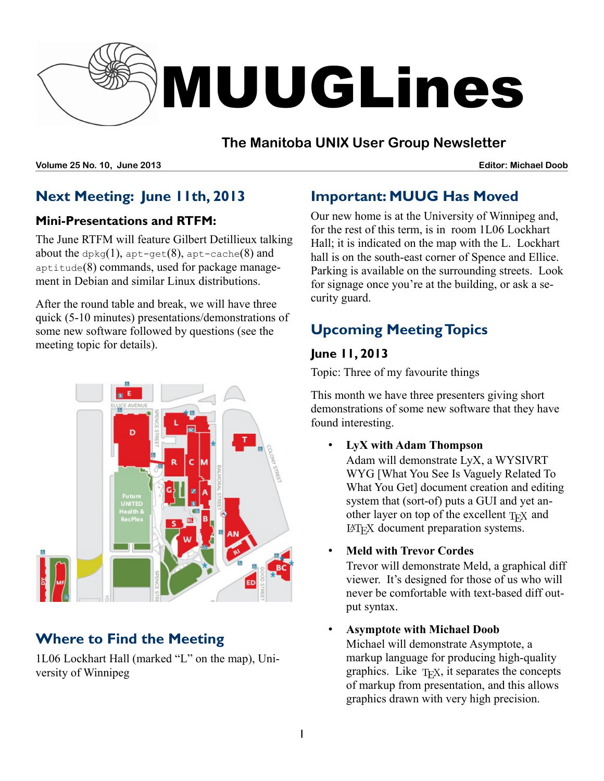

# **The Manitoba UNIX User Group Newsletter**

**Volume 25 No. 10, June 2013 Editor: Michael Doob**

# **Next Meeting: June 11th, 2013**

## **Mini-Presentations and RTFM:**

The June RTFM will feature Gilbert Detillieux talking about the dpkg $(1)$ , apt-get $(8)$ , apt-cache $(8)$  and aptitude(8) commands, used for package management in Debian and similar Linux distributions.

After the round table and break, we will have three quick (5-10 minutes) presentations/demonstrations of some new software followed by questions (see the meeting topic for details).



# **Where to Find the Meeting**

1L06 Lockhart Hall (marked "L" on the map), University of Winnipeg

# **Important: MUUG Has Moved**

Our new home is at the University of Winnipeg and, for the rest of this term, is in room 1L06 Lockhart Hall; it is indicated on the map with the L. Lockhart hall is on the south-east corner of Spence and Ellice. Parking is available on the surrounding streets. Look for signage once you're at the building, or ask a security guard.

# **Upcoming Meeting Topics**

## **June 11, 2013**

Topic: Three of my favourite things

This month we have three presenters giving short demonstrations of some new software that they have found interesting.

• **LyX with Adam Thompson**

Adam will demonstrate LyX, a WYSIVRT WYG [What You See Is Vaguely Related To What You Get] document creation and editing system that (sort-of) puts a GUI and yet another layer on top of the excellent  $T_F X$  and  $IAT$ <sub>F</sub>X document preparation systems.

## • **Meld with Trevor Cordes**

Trevor will demonstrate Meld, a graphical diff viewer. It's designed for those of us who will never be comfortable with text-based diff output syntax.

### • **Asymptote with Michael Doob**

Michael will demonstrate Asymptote, a markup language for producing high-quality graphics. Like  $T<sub>F</sub>X$ , it separates the concepts of markup from presentation, and this allows graphics drawn with very high precision.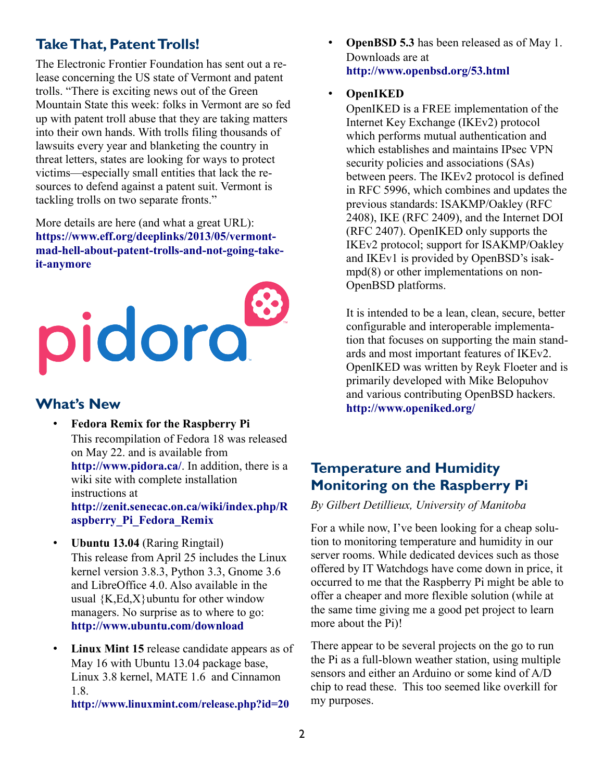# **Take That, Patent Trolls!**

The Electronic Frontier Foundation has sent out a release concerning the US state of Vermont and patent trolls. "There is exciting news out of the Green Mountain State this week: folks in Vermont are so fed up with patent troll abuse that they are taking matters into their own hands. With trolls filing thousands of lawsuits every year and blanketing the country in threat letters, states are looking for ways to protect victims—especially small entities that lack the resources to defend against a patent suit. Vermont is tackling trolls on two separate fronts."

More details are here (and what a great URL): **[https://www.eff.org/deeplinks/2013/05/vermont](https://www.eff.org/deeplinks/2013/05/vermont-mad-hell-about-patent-trolls-and-not-going-take-it-anymore)[mad-hell-about-patent-trolls-and-not-going-take](https://www.eff.org/deeplinks/2013/05/vermont-mad-hell-about-patent-trolls-and-not-going-take-it-anymore)[it-anymore](https://www.eff.org/deeplinks/2013/05/vermont-mad-hell-about-patent-trolls-and-not-going-take-it-anymore)**

# pidora

# **What's New**

- **Fedora Remix for the Raspberry Pi** This recompilation of Fedora 18 was released on May 22. and is available from **<http://www.pidora.ca/>**. In addition, there is a wiki site with complete installation instructions at **[http://zenit.senecac.on.ca/wiki/index.php/R](http://zenit.senecac.on.ca/wiki/index.php/Raspberry_Pi_Fedora_Remix) [aspberry\\_Pi\\_Fedora\\_Remix](http://zenit.senecac.on.ca/wiki/index.php/Raspberry_Pi_Fedora_Remix)**
- **Ubuntu 13.04** (Raring Ringtail) This release from April 25 includes the Linux kernel version 3.8.3, Python 3.3, Gnome 3.6 and LibreOffice 4.0. Also available in the usual  ${K, Ed, X}$ ubuntu for other window managers. No surprise as to where to go: **<http://www.ubuntu.com/download>**
- **Linux Mint 15** release candidate appears as of May 16 with Ubuntu 13.04 package base, Linux 3.8 kernel, MATE 1.6 and Cinnamon 1.8.

**<http://www.linuxmint.com/release.php?id=20>**

• **OpenBSD 5.3** has been released as of May 1. Downloads are at **<http://www.openbsd.org/53.html>**

#### • **OpenIKED**

OpenIKED is a FREE implementation of the Internet Key Exchange (IKEv2) protocol which performs mutual authentication and which establishes and maintains IPsec VPN security policies and associations (SAs) between peers. The IKEv2 protocol is defined in RFC 5996, which combines and updates the previous standards: ISAKMP/Oakley (RFC 2408), IKE (RFC 2409), and the Internet DOI (RFC 2407). OpenIKED only supports the IKEv2 protocol; support for ISAKMP/Oakley and IKEv1 is provided by OpenBSD's isakmpd(8) or other implementations on non-OpenBSD platforms.

It is intended to be a lean, clean, secure, better configurable and interoperable implementation that focuses on supporting the main standards and most important features of IKEv2. OpenIKED was written by Reyk Floeter and is primarily developed with Mike Belopuhov and various contributing OpenBSD hackers. **<http://www.openiked.org/>**

# **Temperature and Humidity Monitoring on the Raspberry Pi**

*By Gilbert Detillieux, University of Manitoba*

For a while now, I've been looking for a cheap solution to monitoring temperature and humidity in our server rooms. While dedicated devices such as those offered by IT Watchdogs have come down in price, it occurred to me that the Raspberry Pi might be able to offer a cheaper and more flexible solution (while at the same time giving me a good pet project to learn more about the Pi)!

There appear to be several projects on the go to run the Pi as a full-blown weather station, using multiple sensors and either an Arduino or some kind of A/D chip to read these. This too seemed like overkill for my purposes.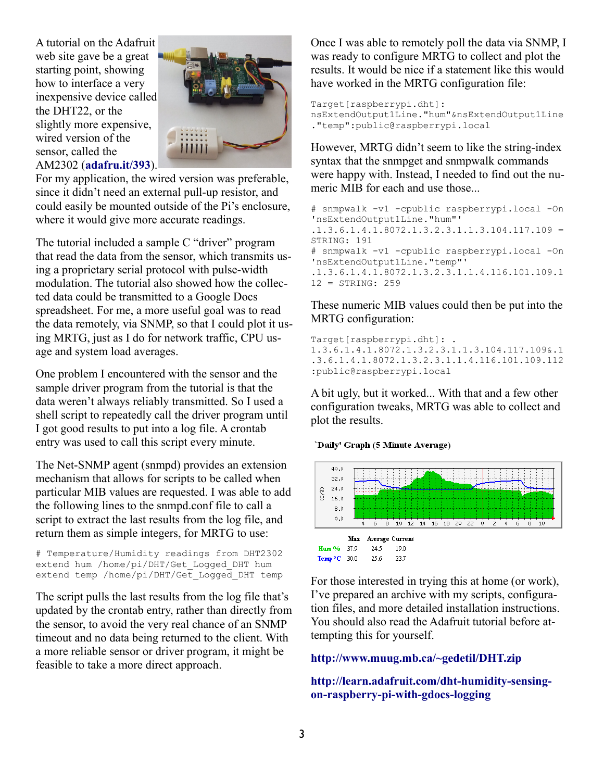A tutorial on the Adafruit web site gave be a great starting point, showing how to interface a very inexpensive device called the DHT22, or the slightly more expensive, wired version of the sensor, called the AM2302 (**[adafru.it/393](http://adafru.it/393)**).



For my application, the wired version was preferable, since it didn't need an external pull-up resistor, and could easily be mounted outside of the Pi's enclosure, where it would give more accurate readings.

The tutorial included a sample C "driver" program that read the data from the sensor, which transmits using a proprietary serial protocol with pulse-width modulation. The tutorial also showed how the collected data could be transmitted to a Google Docs spreadsheet. For me, a more useful goal was to read the data remotely, via SNMP, so that I could plot it using MRTG, just as I do for network traffic, CPU usage and system load averages.

One problem I encountered with the sensor and the sample driver program from the tutorial is that the data weren't always reliably transmitted. So I used a shell script to repeatedly call the driver program until I got good results to put into a log file. A crontab entry was used to call this script every minute.

The Net-SNMP agent (snmpd) provides an extension mechanism that allows for scripts to be called when particular MIB values are requested. I was able to add the following lines to the snmpd.conf file to call a script to extract the last results from the log file, and return them as simple integers, for MRTG to use:

# Temperature/Humidity readings from DHT2302 extend hum /home/pi/DHT/Get\_Logged\_DHT hum extend temp /home/pi/DHT/Get Logged DHT temp

The script pulls the last results from the log file that's updated by the crontab entry, rather than directly from the sensor, to avoid the very real chance of an SNMP timeout and no data being returned to the client. With a more reliable sensor or driver program, it might be feasible to take a more direct approach.

Once I was able to remotely poll the data via SNMP, I was ready to configure MRTG to collect and plot the results. It would be nice if a statement like this would have worked in the MRTG configuration file:

```
Target[raspberrypi.dht]: 
nsExtendOutput1Line."hum"&nsExtendOutput1Line
."temp":public@raspberrypi.local
```
However, MRTG didn't seem to like the string-index syntax that the snmpget and snmpwalk commands were happy with. Instead, I needed to find out the numeric MIB for each and use those...

```
# snmpwalk -v1 -cpublic raspberrypi.local -On
'nsExtendOutput1Line."hum"'
.1.3.6.1.4.1.8072.1.3.2.3.1.1.3.104.117.109 =STRING: 191
# snmpwalk -v1 -cpublic raspberrypi.local -On
'nsExtendOutput1Line."temp"'
.1.3.6.1.4.1.8072.1.3.2.3.1.1.4.116.101.109.1
12 = STRING: 259
```
#### These numeric MIB values could then be put into the MRTG configuration:

```
Target[raspberrypi.dht]: .
1.3.6.1.4.1.8072.1.3.2.3.1.1.3.104.117.109&.1
.3.6.1.4.1.8072.1.3.2.3.1.1.4.116.101.109.112
:public@raspberrypi.local
```
A bit ugly, but it worked... With that and a few other configuration tweaks, MRTG was able to collect and plot the results.

#### 'Daily' Graph (5 Minute Average)



For those interested in trying this at home (or work), I've prepared an archive with my scripts, configuration files, and more detailed installation instructions. You should also read the Adafruit tutorial before attempting this for yourself.

## **<http://www.muug.mb.ca/~gedetil/DHT.zip>**

## **[http://learn.adafruit.com/dht-humidity-sensing](http://learn.adafruit.com/dht-humidity-sensing-on-raspberry-pi-with-gdocs-logging)[on-raspberry-pi-with-gdocs-logging](http://learn.adafruit.com/dht-humidity-sensing-on-raspberry-pi-with-gdocs-logging)**